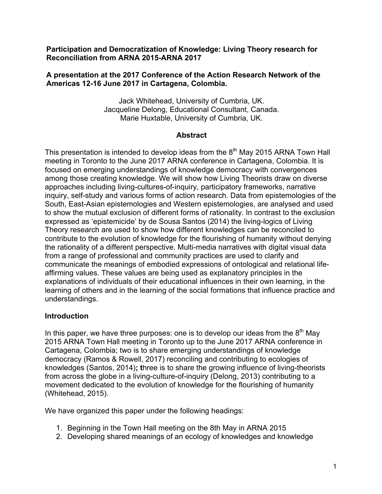**Participation and Democratization of Knowledge: Living Theory research for Reconciliation from ARNA 2015-ARNA 2017**

#### **A presentation at the 2017 Conference of the Action Research Network of the Americas 12-16 June 2017 in Cartagena, Colombia.**

Jack Whitehead, University of Cumbria, UK. Jacqueline Delong, Educational Consultant, Canada. Marie Huxtable, University of Cumbria, UK.

## **Abstract**

This presentation is intended to develop ideas from the  $8<sup>th</sup>$  May 2015 ARNA Town Hall meeting in Toronto to the June 2017 ARNA conference in Cartagena, Colombia. It is focused on emerging understandings of knowledge democracy with convergences among those creating knowledge. We will show how Living Theorists draw on diverse approaches including living-cultures-of-inquiry, participatory frameworks, narrative inquiry, self-study and various forms of action research. Data from epistemologies of the South, East-Asian epistemologies and Western epistemologies, are analysed and used to show the mutual exclusion of different forms of rationality. In contrast to the exclusion expressed as 'epistemicide' by de Sousa Santos (2014) the living-logics of Living Theory research are used to show how different knowledges can be reconciled to contribute to the evolution of knowledge for the flourishing of humanity without denying the rationality of a different perspective. Multi-media narratives with digital visual data from a range of professional and community practices are used to clarify and communicate the meanings of embodied expressions of ontological and relational lifeaffirming values. These values are being used as explanatory principles in the explanations of individuals of their educational influences in their own learning, in the learning of others and in the learning of the social formations that influence practice and understandings.

## **Introduction**

In this paper, we have three purposes: one is to develop our ideas from the  $8<sup>th</sup>$  May 2015 ARNA Town Hall meeting in Toronto up to the June 2017 ARNA conference in Cartagena, Colombia; two is to share emerging understandings of knowledge democracy (Ramos & Rowell, 2017) reconciling and contributing to ecologies of knowledges (Santos, 2014)**; t**hree is to share the growing influence of living-theorists from across the globe in a living-culture-of-inquiry (Delong, 2013) contributing to a movement dedicated to the evolution of knowledge for the flourishing of humanity (Whitehead, 2015).

We have organized this paper under the following headings:

- 1. Beginning in the Town Hall meeting on the 8th May in ARNA 2015
- 2. Developing shared meanings of an ecology of knowledges and knowledge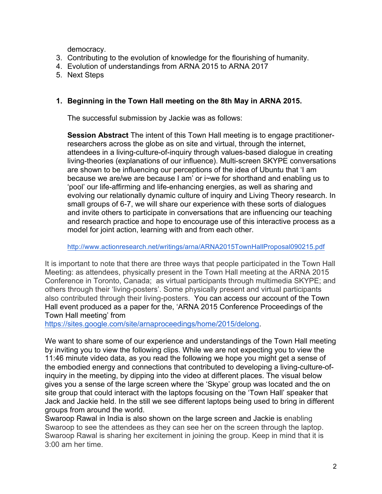democracy.

- 3. Contributing to the evolution of knowledge for the flourishing of humanity.
- 4. Evolution of understandings from ARNA 2015 to ARNA 2017
- 5. Next Steps

## **1. Beginning in the Town Hall meeting on the 8th May in ARNA 2015.**

The successful submission by Jackie was as follows:

**Session Abstract** The intent of this Town Hall meeting is to engage practitionerresearchers across the globe as on site and virtual, through the internet, attendees in a living-culture-of-inquiry through values-based dialogue in creating living-theories (explanations of our influence). Multi-screen SKYPE conversations are shown to be influencing our perceptions of the idea of Ubuntu that 'I am because we are/we are because I am' or i~we for shorthand and enabling us to 'pool' our life-affirming and life-enhancing energies, as well as sharing and evolving our relationally dynamic culture of inquiry and Living Theory research. In small groups of 6-7, we will share our experience with these sorts of dialogues and invite others to participate in conversations that are influencing our teaching and research practice and hope to encourage use of this interactive process as a model for joint action, learning with and from each other.

http://www.actionresearch.net/writings/arna/ARNA2015TownHallProposal090215.pdf

It is important to note that there are three ways that people participated in the Town Hall Meeting: as attendees, physically present in the Town Hall meeting at the ARNA 2015 Conference in Toronto, Canada; as virtual participants through multimedia SKYPE; and others through their 'living-posters'. Some physically present and virtual participants also contributed through their living-posters. You can access our account of the Town Hall event produced as a paper for the, 'ARNA 2015 Conference Proceedings of the Town Hall meeting' from

https://sites.google.com/site/arnaproceedings/home/2015/delong.

We want to share some of our experience and understandings of the Town Hall meeting by inviting you to view the following clips. While we are not expecting you to view the 11:46 minute video data, as you read the following we hope you might get a sense of the embodied energy and connections that contributed to developing a living-culture-ofinquiry in the meeting, by dipping into the video at different places. The visual below gives you a sense of the large screen where the 'Skype' group was located and the on site group that could interact with the laptops focusing on the 'Town Hall' speaker that Jack and Jackie held. In the still we see different laptops being used to bring in different groups from around the world.

Swaroop Rawal in India is also shown on the large screen and Jackie is enabling Swaroop to see the attendees as they can see her on the screen through the laptop. Swaroop Rawal is sharing her excitement in joining the group. Keep in mind that it is 3:00 am her time.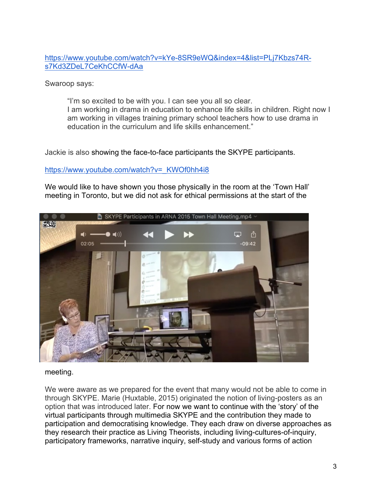https://www.youtube.com/watch?v=kYe-8SR9eWQ&index=4&list=PLj7Kbzs74Rs7Kd3ZDeL7CeKhCCfW-dAa

Swaroop says:

"I'm so excited to be with you. I can see you all so clear. I am working in drama in education to enhance life skills in children. Right now I am working in villages training primary school teachers how to use drama in education in the curriculum and life skills enhancement."

Jackie is also showing the face-to-face participants the SKYPE participants.

https://www.youtube.com/watch?v=\_KWOf0hh4i8

We would like to have shown you those physically in the room at the 'Town Hall' meeting in Toronto, but we did not ask for ethical permissions at the start of the



#### meeting.

We were aware as we prepared for the event that many would not be able to come in through SKYPE. Marie (Huxtable, 2015) originated the notion of living-posters as an option that was introduced later. For now we want to continue with the 'story' of the virtual participants through multimedia SKYPE and the contribution they made to participation and democratising knowledge. They each draw on diverse approaches as they research their practice as Living Theorists, including living-cultures-of-inquiry, participatory frameworks, narrative inquiry, self-study and various forms of action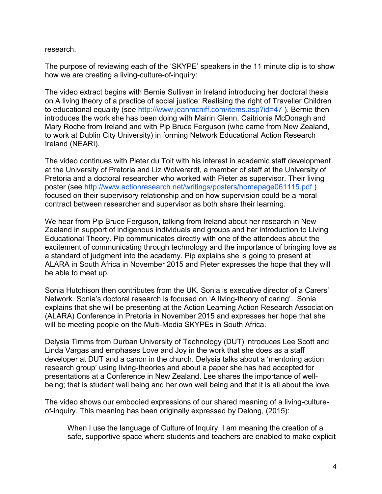research.

The purpose of reviewing each of the 'SKYPE' speakers in the 11 minute clip is to show how we are creating a living-culture-of-inquiry:

The video extract begins with Bernie Sullivan in Ireland introducing her doctoral thesis on A living theory of a practice of social justice: Realising the right of Traveller Children to educational equality (see http://www.jeanmcniff.com/items.asp?id=47 ). Bernie then introduces the work she has been doing with Mairin Glenn, Caitrionia McDonagh and Mary Roche from Ireland and with Pip Bruce Ferguson (who came from New Zealand, to work at Dublin City University) in forming Network Educational Action Research Ireland (NEARI).

The video continues with Pieter du Toit with his interest in academic staff development at the University of Pretoria and Liz Wolverardt, a member of staff at the University of Pretoria and a doctoral researcher who worked with Pieter as supervisor. Their living poster (see http://www.actionresearch.net/writings/posters/homepage061115.pdf ) focused on their supervisory relationship and on how supervision could be a moral contract between researcher and supervisor as both share their learning.

We hear from Pip Bruce Ferguson, talking from Ireland about her research in New Zealand in support of indigenous individuals and groups and her introduction to Living Educational Theory. Pip communicates directly with one of the attendees about the excitement of communicating through technology and the importance of bringing love as a standard of judgment into the academy. Pip explains she is going to present at ALARA in South Africa in November 2015 and Pieter expresses the hope that they will be able to meet up.

Sonia Hutchison then contributes from the UK. Sonia is executive director of a Carers' Network. Sonia's doctoral research is focused on 'A living-theory of caring'. Sonia explains that she will be presenting at the Action Learning Action Research Association (ALARA) Conference in Pretoria in November 2015 and expresses her hope that she will be meeting people on the Multi-Media SKYPEs in South Africa.

Delysia Timms from Durban University of Technology (DUT) introduces Lee Scott and Linda Vargas and emphases Love and Joy in the work that she does as a staff developer at DUT and a canon in the church. Delysia talks about a 'mentoring action research group' using living-theories and about a paper she has had accepted for presentations at a Conference in New Zealand. Lee shares the importance of wellbeing; that is student well being and her own well being and that it is all about the love.

The video shows our embodied expressions of our shared meaning of a living-cultureof-inquiry. This meaning has been originally expressed by Delong, (2015):

When I use the language of Culture of Inquiry, I am meaning the creation of a safe, supportive space where students and teachers are enabled to make explicit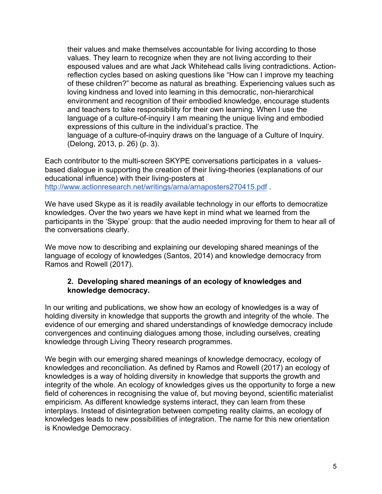their values and make themselves accountable for living according to those values. They learn to recognize when they are not living according to their espoused values and are what Jack Whitehead calls living contradictions. Actionreflection cycles based on asking questions like "How can I improve my teaching of these children?" become as natural as breathing. Experiencing values such as loving kindness and loved into learning in this democratic, non-hierarchical environment and recognition of their embodied knowledge, encourage students and teachers to take responsibility for their own learning. When I use the language of a culture-of-inquiry I am meaning the unique living and embodied expressions of this culture in the individual's practice. The language of a culture-of-inquiry draws on the language of a Culture of Inquiry. (Delong, 2013, p. 26) (p. 3).

Each contributor to the multi-screen SKYPE conversations participates in a valuesbased dialogue in supporting the creation of their living-theories (explanations of our educational influence) with their living-posters at http://www.actionresearch.net/writings/arna/arnaposters270415.pdf .

We have used Skype as it is readily available technology in our efforts to democratize knowledges. Over the two years we have kept in mind what we learned from the participants in the 'Skype' group: that the audio needed improving for them to hear all of the conversations clearly.

We move now to describing and explaining our developing shared meanings of the language of ecology of knowledges (Santos, 2014) and knowledge democracy from Ramos and Rowell (2017).

## **2. Developing shared meanings of an ecology of knowledges and knowledge democracy.**

In our writing and publications, we show how an ecology of knowledges is a way of holding diversity in knowledge that supports the growth and integrity of the whole. The evidence of our emerging and shared understandings of knowledge democracy include convergences and continuing dialogues among those, including ourselves, creating knowledge through Living Theory research programmes.

We begin with our emerging shared meanings of knowledge democracy, ecology of knowledges and reconciliation. As defined by Ramos and Rowell (2017) an ecology of knowledges is a way of holding diversity in knowledge that supports the growth and integrity of the whole. An ecology of knowledges gives us the opportunity to forge a new field of coherences in recognising the value of, but moving beyond, scientific materialist empiricism. As different knowledge systems interact, they can learn from these interplays. Instead of disintegration between competing reality claims, an ecology of knowledges leads to new possibilities of integration. The name for this new orientation is Knowledge Democracy.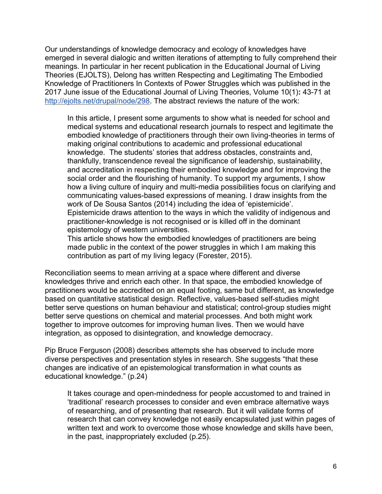Our understandings of knowledge democracy and ecology of knowledges have emerged in several dialogic and written iterations of attempting to fully comprehend their meanings. In particular in her recent publication in the Educational Journal of Living Theories (EJOLTS), Delong has written Respecting and Legitimating The Embodied Knowledge of Practitioners In Contexts of Power Struggles which was published in the 2017 June issue of the Educational Journal of Living Theories, Volume 10(1)**:** 43-71 at http://ejolts.net/drupal/node/298. The abstract reviews the nature of the work:

In this article, I present some arguments to show what is needed for school and medical systems and educational research journals to respect and legitimate the embodied knowledge of practitioners through their own living-theories in terms of making original contributions to academic and professional educational knowledge. The students' stories that address obstacles, constraints and, thankfully, transcendence reveal the significance of leadership, sustainability, and accreditation in respecting their embodied knowledge and for improving the social order and the flourishing of humanity. To support my arguments, I show how a living culture of inquiry and multi-media possibilities focus on clarifying and communicating values-based expressions of meaning. I draw insights from the work of De Sousa Santos (2014) including the idea of 'epistemicide'. Epistemicide draws attention to the ways in which the validity of indigenous and practitioner-knowledge is not recognised or is killed off in the dominant epistemology of western universities.

This article shows how the embodied knowledges of practitioners are being made public in the context of the power struggles in which I am making this contribution as part of my living legacy (Forester, 2015).

Reconciliation seems to mean arriving at a space where different and diverse knowledges thrive and enrich each other. In that space, the embodied knowledge of practitioners would be accredited on an equal footing, same but different, as knowledge based on quantitative statistical design. Reflective, values-based self-studies might better serve questions on human behaviour and statistical; control-group studies might better serve questions on chemical and material processes. And both might work together to improve outcomes for improving human lives. Then we would have integration, as opposed to disintegration, and knowledge democracy.

Pip Bruce Ferguson (2008) describes attempts she has observed to include more diverse perspectives and presentation styles in research. She suggests "that these changes are indicative of an epistemological transformation in what counts as educational knowledge." (p.24)

It takes courage and open-mindedness for people accustomed to and trained in 'traditional' research processes to consider and even embrace alternative ways of researching, and of presenting that research. But it will validate forms of research that can convey knowledge not easily encapsulated just within pages of written text and work to overcome those whose knowledge and skills have been, in the past, inappropriately excluded (p.25).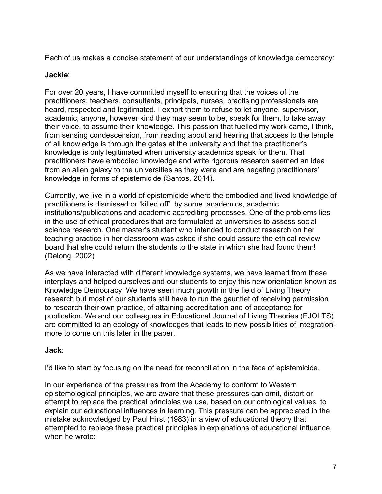Each of us makes a concise statement of our understandings of knowledge democracy:

## **Jackie**:

For over 20 years, I have committed myself to ensuring that the voices of the practitioners, teachers, consultants, principals, nurses, practising professionals are heard, respected and legitimated. I exhort them to refuse to let anyone, supervisor, academic, anyone, however kind they may seem to be, speak for them, to take away their voice, to assume their knowledge. This passion that fuelled my work came, I think, from sensing condescension, from reading about and hearing that access to the temple of all knowledge is through the gates at the university and that the practitioner's knowledge is only legitimated when university academics speak for them. That practitioners have embodied knowledge and write rigorous research seemed an idea from an alien galaxy to the universities as they were and are negating practitioners' knowledge in forms of epistemicide (Santos, 2014).

Currently, we live in a world of epistemicide where the embodied and lived knowledge of practitioners is dismissed or 'killed off' by some academics, academic institutions/publications and academic accrediting processes. One of the problems lies in the use of ethical procedures that are formulated at universities to assess social science research. One master's student who intended to conduct research on her teaching practice in her classroom was asked if she could assure the ethical review board that she could return the students to the state in which she had found them! (Delong, 2002)

As we have interacted with different knowledge systems, we have learned from these interplays and helped ourselves and our students to enjoy this new orientation known as Knowledge Democracy. We have seen much growth in the field of Living Theory research but most of our students still have to run the gauntlet of receiving permission to research their own practice, of attaining accreditation and of acceptance for publication. We and our colleagues in Educational Journal of Living Theories (EJOLTS) are committed to an ecology of knowledges that leads to new possibilities of integrationmore to come on this later in the paper.

## **Jack**:

I'd like to start by focusing on the need for reconciliation in the face of epistemicide.

In our experience of the pressures from the Academy to conform to Western epistemological principles, we are aware that these pressures can omit, distort or attempt to replace the practical principles we use, based on our ontological values, to explain our educational influences in learning. This pressure can be appreciated in the mistake acknowledged by Paul Hirst (1983) in a view of educational theory that attempted to replace these practical principles in explanations of educational influence, when he wrote: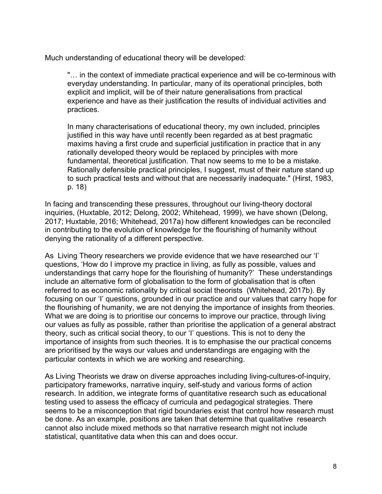Much understanding of educational theory will be developed:

"… in the context of immediate practical experience and will be co-terminous with everyday understanding. In particular, many of its operational principles, both explicit and implicit, will be of their nature generalisations from practical experience and have as their justification the results of individual activities and practices.

In many characterisations of educational theory, my own included, principles justified in this way have until recently been regarded as at best pragmatic maxims having a first crude and superficial justification in practice that in any rationally developed theory would be replaced by principles with more fundamental, theoretical justification. That now seems to me to be a mistake. Rationally defensible practical principles, I suggest, must of their nature stand up to such practical tests and without that are necessarily inadequate." (Hirst, 1983, p. 18)

In facing and transcending these pressures, throughout our living-theory doctoral inquiries, (Huxtable, 2012; Delong, 2002; Whitehead, 1999), we have shown (Delong, 2017; Huxtable, 2016; Whitehead, 2017a) how different knowledges can be reconciled in contributing to the evolution of knowledge for the flourishing of humanity without denying the rationality of a different perspective.

As Living Theory researchers we provide evidence that we have researched our 'I' questions, 'How do I improve my practice in living, as fully as possible, values and understandings that carry hope for the flourishing of humanity?' These understandings include an alternative form of globalisation to the form of globalisation that is often referred to as economic rationality by critical social theorists (Whitehead, 2017b). By focusing on our 'I' questions, grounded in our practice and our values that carry hope for the flourishing of humanity, we are not denying the importance of insights from theories. What we are doing is to prioritise our concerns to improve our practice, through living our values as fully as possible, rather than prioritise the application of a general abstract theory, such as critical social theory, to our 'I' questions. This is not to deny the importance of insights from such theories. It is to emphasise the our practical concerns are prioritised by the ways our values and understandings are engaging with the particular contexts in which we are working and researching.

As Living Theorists we draw on diverse approaches including living-cultures-of-inquiry, participatory frameworks, narrative inquiry, self-study and various forms of action research. In addition, we integrate forms of quantitative research such as educational testing used to assess the efficacy of curricula and pedagogical strategies. There seems to be a misconception that rigid boundaries exist that control how research must be done. As an example, positions are taken that determine that qualitative research cannot also include mixed methods so that narrative research might not include statistical, quantitative data when this can and does occur.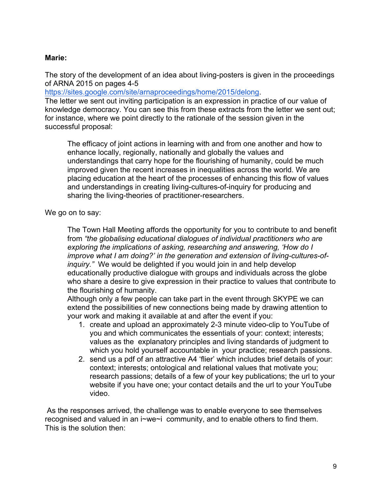## **Marie:**

The story of the development of an idea about living-posters is given in the proceedings of ARNA 2015 on pages 4-5

https://sites.google.com/site/arnaproceedings/home/2015/delong.

The letter we sent out inviting participation is an expression in practice of our value of knowledge democracy. You can see this from these extracts from the letter we sent out; for instance, where we point directly to the rationale of the session given in the successful proposal:

The efficacy of joint actions in learning with and from one another and how to enhance locally, regionally, nationally and globally the values and understandings that carry hope for the flourishing of humanity, could be much improved given the recent increases in inequalities across the world. We are placing education at the heart of the processes of enhancing this flow of values and understandings in creating living-cultures-of-inquiry for producing and sharing the living-theories of practitioner-researchers.

We go on to say:

The Town Hall Meeting affords the opportunity for you to contribute to and benefit from *"the globalising educational dialogues of individual practitioners who are exploring the implications of asking, researching and answering, 'How do I improve what I am doing?' in the generation and extension of living-cultures-ofinquiry."* We would be delighted if you would join in and help develop educationally productive dialogue with groups and individuals across the globe who share a desire to give expression in their practice to values that contribute to the flourishing of humanity.

Although only a few people can take part in the event through SKYPE we can extend the possibilities of new connections being made by drawing attention to your work and making it available at and after the event if you:

- 1. create and upload an approximately 2-3 minute video-clip to YouTube of you and which communicates the essentials of your: context; interests; values as the explanatory principles and living standards of judgment to which you hold yourself accountable in your practice; research passions.
- 2. send us a pdf of an attractive A4 'flier' which includes brief details of your: context; interests; ontological and relational values that motivate you; research passions; details of a few of your key publications; the url to your website if you have one; your contact details and the url to your YouTube video.

As the responses arrived, the challenge was to enable everyone to see themselves recognised and valued in an i~we~i community, and to enable others to find them. This is the solution then: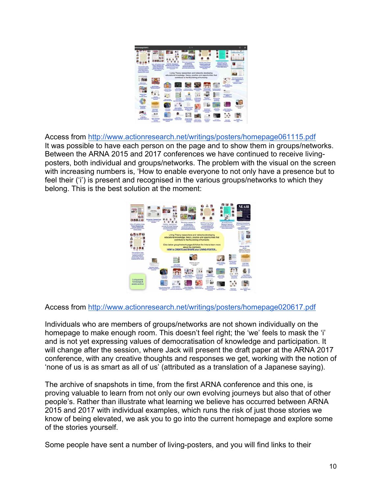| efficemepage250415                                                                                                                                                                                                                                                                                                 | 7.07                                                                                                                                                                                                                                                                                                                                                                                                                                                                                                                                                                                                                                                                                                                                                                                                                 | ۰                                                                                                                                                                                                                                                                                                 |
|--------------------------------------------------------------------------------------------------------------------------------------------------------------------------------------------------------------------------------------------------------------------------------------------------------------------|----------------------------------------------------------------------------------------------------------------------------------------------------------------------------------------------------------------------------------------------------------------------------------------------------------------------------------------------------------------------------------------------------------------------------------------------------------------------------------------------------------------------------------------------------------------------------------------------------------------------------------------------------------------------------------------------------------------------------------------------------------------------------------------------------------------------|---------------------------------------------------------------------------------------------------------------------------------------------------------------------------------------------------------------------------------------------------------------------------------------------------|
| Δ<br>Link of Curricula Living<br>Theory Research Day<br><b>Conversion Cale</b><br><b><i>CASTLE AIR FROM AND</i></b><br>A detroits appoints<br><b>Routine modern from and</b><br><b><i>Bridges Eleventh</i></b><br>August classic image strinks, from<br><b><i>Phone New Harris R.</i></b><br>distribution.         | <b>Several of American List</b><br><b>SICHELLING THING</b><br>an Contentral<br><b>Lo's 15 - Empatient</b><br><b><i>PARKET AVAILABLE ART</i></b><br>and retail descriptions<br>A FAINTA VIA<br><b><i>Riversal Of Liversa Theories</i></b><br>and send out of the property of<br><b>MOTORSKY ANGELES &amp; AIR</b><br>all international paints and<br><b>Explorer This deadly of 196 of</b><br><b>Automotive department and</b><br><b>ARTISTANTS AFT-ARTIS TOWARD</b><br><b>SERVICE AND FRAME OF ANY</b><br><b>SHOWERS</b><br>---                                                                                                                                                                                                                                                                                      | v<br><b>Business Actor</b><br>т<br><b>Teamerit Saturisti</b><br>a largest contracts of<br><b>Mandale House Frank Ave.</b><br>۰<br><b>Anti-Africand Anti-Trans</b>                                                                                                                                 |
| and structure back, with party<br><b>MORAGE SETTL GARDE</b><br><b>SUPPORT AND IN</b><br>Andrew James<br><b><i><u>Structure at American and</u></i></b><br><b>Jack Midwheel</b><br><b><i><u>Supera Lowrange</u></i></b><br><b>NALASTA MANUF</b>                                                                     | Living Theory researchers and natworks developing<br>educational knowledge, theory, gractice and opportunities that<br>contribute to the flourishing of humanity<br><b>But James</b><br><b>Instantial Agent</b><br><b><i><u>Searca Guardo</u></i></b><br><b>Long Section</b><br><b>Rock Ford Frank</b>                                                                                                                                                                                                                                                                                                                                                                                                                                                                                                               | <b>Notwork Educational</b><br><b>Actual Pleasuratives of</b><br><b><i>bene</i></b><br>A developing instance of<br><b>Microsoft A. D. Polar, A.</b><br><b>All Marches</b><br><b>Suppose downwidth</b><br><b>MALLER</b><br>To draw fraund                                                           |
| <b><i><u>Seattled Presid</u></i></b><br>$\overline{\phantom{a}}$<br>stocky, Avis<br>Jose Fox<br><b>MARK AT ANNA</b><br><b><i><u>Participants</u></i></b><br><b>Bang Stand</b><br>---                                                                                                                               | <b>Bright Avenue</b><br><b>Seattle Minimum</b><br><b>STAR-American</b><br><b>Conciling charge</b><br><b>Lower service</b><br><b>Marchan Support</b><br><b>CONTRACTOR</b><br><b>MINUTES STATE</b><br><b><i><u>SAFAAFINT</u></i></b><br>٠<br>18.8<br>×<br>٠<br>$-1$<br>w<br><b>Maria Bagar</b><br><b>Bank Marine</b><br>of Streets<br><b>CONTRACTOR</b><br><b>Text America</b><br><b><i><u>Participants</u></i></b><br><b><i><u>Starte Products</u></i></b><br>Alfred at The<br><b><i><u>RAFINA AWAY</u></i></b><br><b><i><u>Remaining</u></i></b><br><b><i><u>Instruct states</u></i></b><br><b><i><u>Contract Add Add Into</u></i></b><br><b>Market School</b><br>----                                                                                                                                               | <b>Earl democrats</b><br><br><b>STATISTICS</b><br><b>CONTRACTOR</b><br><b>Callier Striffer &amp; Aust</b><br><b>MARCH</b><br><b><i><u>America</u></i></b> sweet<br><b>Bullion At Trainer</b><br><b>Sale Manager</b><br>---<br><b>Road for you in art</b><br>a sichical                            |
| <b>Russian and</b><br><b>SHOWSHIP</b><br>Links World<br><b>Gent Allan</b><br><b>TOTAL TABLE</b><br><b>MAR</b><br><b>N</b> torn<br><b>Survival</b><br><b>Secretary Aves</b><br><b>Jane</b> , Onrinson,<br>law wet cove (21)<br><b>Facturing models</b><br><b>Constraint</b><br><b><i><u>ANTIBERS MARTIT</u></i></b> | <b>Mask Sundales</b><br><b>National American</b><br><b>Advert James</b><br>Mark Plyma<br><b><i>DRIVING</i></b><br><b>Secret charges</b><br><b>MONTHS AND ART</b><br><b>State Avenue</b><br><b>Sales Allen</b><br><b>County Ave</b><br><b>EDITARIA AMBAZINI</b><br><b>Am Fox</b><br><b>Service</b><br><b><i>AMARES</i></b><br><b>Dealer and present</b><br>--<br><b>STEAM AND</b><br><b>Send Product</b><br><b>LEWIS CO., LANSING</b><br><b><i><u><u><b>Designation</b></u></u></i></b><br><b>Allen Christmas Phoenix</b><br><b>ALCOHOL:</b><br><b>Married Miles</b><br><b><i><u>STANDARD</u></i></b><br><b><i><u>System Andrew</u></i></b><br><b>LANTING ENTIRE PR</b><br><b>Suite of</b><br><b>SAN AGE</b><br><b>THE REPORT</b><br><b>NEW YORK</b><br><b><i>UPSURE ARE</i></b><br><b>SHARE</b><br><b>Automative</b> | come?<br>--<br><b>Jacket Associate</b><br><b>Service and an</b><br><b>Town, Antiquists</b><br>$-$<br><b>Inspections</b><br><b>Los Suite</b><br><b>Sell Service</b><br><b><i><u>Red Post</u></i></b><br><b>ASS, MAYA, ANITE</b><br><b>Service of Grand</b><br><b>MITA FROM A</b><br><b>Service</b> |

Access from http://www.actionresearch.net/writings/posters/homepage061115.pdf It was possible to have each person on the page and to show them in groups/networks. Between the ARNA 2015 and 2017 conferences we have continued to receive livingposters, both individual and groups/networks. The problem with the visual on the screen with increasing numbers is, 'How to enable everyone to not only have a presence but to feel their ('i') is present and recognised in the various groups/networks to which they belong. This is the best solution at the moment:



Access from http://www.actionresearch.net/writings/posters/homepage020617.pdf

Individuals who are members of groups/networks are not shown individually on the homepage to make enough room. This doesn't feel right; the 'we' feels to mask the 'i' and is not yet expressing values of democratisation of knowledge and participation. It will change after the session, where Jack will present the draft paper at the ARNA 2017 conference, with any creative thoughts and responses we get, working with the notion of 'none of us is as smart as all of us' (attributed as a translation of a Japanese saying).

The archive of snapshots in time, from the first ARNA conference and this one, is proving valuable to learn from not only our own evolving journeys but also that of other people's. Rather than illustrate what learning we believe has occurred between ARNA 2015 and 2017 with individual examples, which runs the risk of just those stories we know of being elevated, we ask you to go into the current homepage and explore some of the stories yourself.

Some people have sent a number of living-posters, and you will find links to their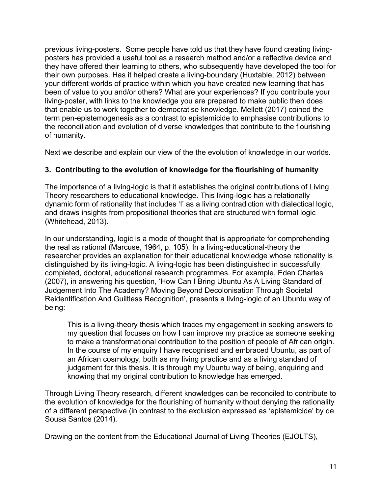previous living-posters. Some people have told us that they have found creating livingposters has provided a useful tool as a research method and/or a reflective device and they have offered their learning to others, who subsequently have developed the tool for their own purposes. Has it helped create a living-boundary (Huxtable, 2012) between your different worlds of practice within which you have created new learning that has been of value to you and/or others? What are your experiences? If you contribute your living-poster, with links to the knowledge you are prepared to make public then does that enable us to work together to democratise knowledge. Mellett (2017) coined the term pen-epistemogenesis as a contrast to epistemicide to emphasise contributions to the reconciliation and evolution of diverse knowledges that contribute to the flourishing of humanity.

Next we describe and explain our view of the the evolution of knowledge in our worlds.

# **3. Contributing to the evolution of knowledge for the flourishing of humanity**

The importance of a living-logic is that it establishes the original contributions of Living Theory researchers to educational knowledge. This living-logic has a relationally dynamic form of rationality that includes 'I' as a living contradiction with dialectical logic, and draws insights from propositional theories that are structured with formal logic (Whitehead, 2013).

In our understanding, logic is a mode of thought that is appropriate for comprehending the real as rational (Marcuse, 1964, p. 105). In a living-educational-theory the researcher provides an explanation for their educational knowledge whose rationality is distinguished by its living-logic. A living-logic has been distinguished in successfully completed, doctoral, educational research programmes. For example, Eden Charles (2007), in answering his question, 'How Can I Bring Ubuntu As A Living Standard of Judgement Into The Academy? Moving Beyond Decolonisation Through Societal Reidentification And Guiltless Recognition', presents a living-logic of an Ubuntu way of being:

This is a living-theory thesis which traces my engagement in seeking answers to my question that focuses on how I can improve my practice as someone seeking to make a transformational contribution to the position of people of African origin. In the course of my enquiry I have recognised and embraced Ubuntu, as part of an African cosmology, both as my living practice and as a living standard of judgement for this thesis. It is through my Ubuntu way of being, enquiring and knowing that my original contribution to knowledge has emerged.

Through Living Theory research, different knowledges can be reconciled to contribute to the evolution of knowledge for the flourishing of humanity without denying the rationality of a different perspective (in contrast to the exclusion expressed as 'epistemicide' by de Sousa Santos (2014).

Drawing on the content from the Educational Journal of Living Theories (EJOLTS),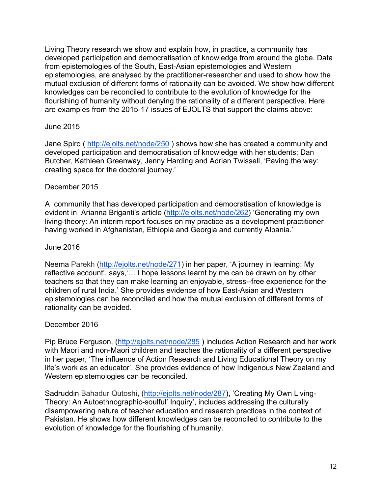Living Theory research we show and explain how, in practice, a community has developed participation and democratisation of knowledge from around the globe. Data from epistemologies of the South, East-Asian epistemologies and Western epistemologies, are analysed by the practitioner-researcher and used to show how the mutual exclusion of different forms of rationality can be avoided. We show how different knowledges can be reconciled to contribute to the evolution of knowledge for the flourishing of humanity without denying the rationality of a different perspective. Here are examples from the 2015-17 issues of EJOLTS that support the claims above:

#### June 2015

Jane Spiro ( http://ejolts.net/node/250 ) shows how she has created a community and developed participation and democratisation of knowledge with her students; Dan Butcher, Kathleen Greenway, Jenny Harding and Adrian Twissell, 'Paving the way: creating space for the doctoral journey.'

#### December 2015

A community that has developed participation and democratisation of knowledge is evident in Arianna Briganti's article (http://ejolts.net/node/262) 'Generating my own living-theory: An interim report focuses on my practice as a development practitioner having worked in Afghanistan, Ethiopia and Georgia and currently Albania.'

### June 2016

Neema Parekh (http://ejolts.net/node/271) in her paper, 'A journey in learning: My reflective account', says,'… I hope lessons learnt by me can be drawn on by other teachers so that they can make learning an enjoyable, stress--free experience for the children of rural India.' She provides evidence of how East-Asian and Western epistemologies can be reconciled and how the mutual exclusion of different forms of rationality can be avoided.

#### December 2016

Pip Bruce Ferguson, (http://ejolts.net/node/285 ) includes Action Research and her work with Maori and non-Maori children and teaches the rationality of a different perspective in her paper, 'The influence of Action Research and Living Educational Theory on my life's work as an educator'. She provides evidence of how Indigenous New Zealand and Western epistemologies can be reconciled.

Sadruddin Bahadur Qutoshi, (http://ejolts.net/node/287), 'Creating My Own Living-Theory: An Autoethnographic-soulful' Inquiry', includes addressing the culturally disempowering nature of teacher education and research practices in the context of Pakistan. He shows how different knowledges can be reconciled to contribute to the evolution of knowledge for the flourishing of humanity.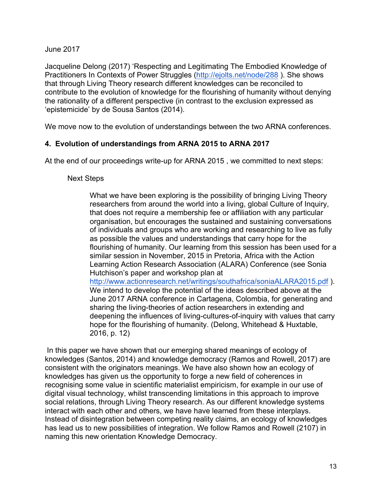### June 2017

Jacqueline Delong (2017) 'Respecting and Legitimating The Embodied Knowledge of Practitioners In Contexts of Power Struggles (http://ejolts.net/node/288 ). She shows that through Living Theory research different knowledges can be reconciled to contribute to the evolution of knowledge for the flourishing of humanity without denying the rationality of a different perspective (in contrast to the exclusion expressed as 'epistemicide' by de Sousa Santos (2014).

We move now to the evolution of understandings between the two ARNA conferences.

# **4. Evolution of understandings from ARNA 2015 to ARNA 2017**

At the end of our proceedings write-up for ARNA 2015 , we committed to next steps:

## Next Steps

What we have been exploring is the possibility of bringing Living Theory researchers from around the world into a living, global Culture of Inquiry, that does not require a membership fee or affiliation with any particular organisation, but encourages the sustained and sustaining conversations of individuals and groups who are working and researching to live as fully as possible the values and understandings that carry hope for the flourishing of humanity. Our learning from this session has been used for a similar session in November, 2015 in Pretoria, Africa with the Action Learning Action Research Association (ALARA) Conference (see Sonia Hutchison's paper and workshop plan at http://www.actionresearch.net/writings/southafrica/soniaALARA2015.pdf ). We intend to develop the potential of the ideas described above at the June 2017 ARNA conference in Cartagena, Colombia, for generating and sharing the living-theories of action researchers in extending and

deepening the influences of living-cultures-of-inquiry with values that carry hope for the flourishing of humanity. (Delong, Whitehead & Huxtable, 2016, p. 12)

In this paper we have shown that our emerging shared meanings of ecology of knowledges (Santos, 2014) and knowledge democracy (Ramos and Rowell, 2017) are consistent with the originators meanings. We have also shown how an ecology of knowledges has given us the opportunity to forge a new field of coherences in recognising some value in scientific materialist empiricism, for example in our use of digital visual technology, whilst transcending limitations in this approach to improve social relations, through Living Theory research. As our different knowledge systems interact with each other and others, we have have learned from these interplays. Instead of disintegration between competing reality claims, an ecology of knowledges has lead us to new possibilities of integration. We follow Ramos and Rowell (2107) in naming this new orientation Knowledge Democracy.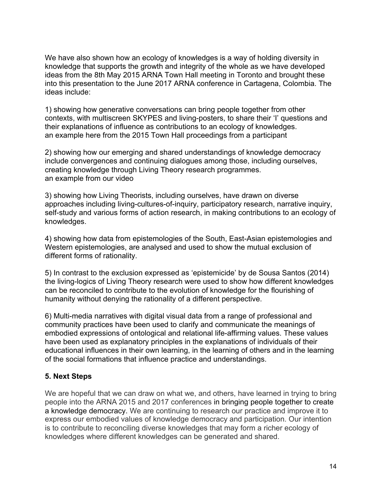We have also shown how an ecology of knowledges is a way of holding diversity in knowledge that supports the growth and integrity of the whole as we have developed ideas from the 8th May 2015 ARNA Town Hall meeting in Toronto and brought these into this presentation to the June 2017 ARNA conference in Cartagena, Colombia. The ideas include:

1) showing how generative conversations can bring people together from other contexts, with multiscreen SKYPES and living-posters, to share their 'I' questions and their explanations of influence as contributions to an ecology of knowledges. an example here from the 2015 Town Hall proceedings from a participant

2) showing how our emerging and shared understandings of knowledge democracy include convergences and continuing dialogues among those, including ourselves, creating knowledge through Living Theory research programmes. an example from our video

3) showing how Living Theorists, including ourselves, have drawn on diverse approaches including living-cultures-of-inquiry, participatory research, narrative inquiry, self-study and various forms of action research, in making contributions to an ecology of knowledges.

4) showing how data from epistemologies of the South, East-Asian epistemologies and Western epistemologies, are analysed and used to show the mutual exclusion of different forms of rationality.

5) In contrast to the exclusion expressed as 'epistemicide' by de Sousa Santos (2014) the living-logics of Living Theory research were used to show how different knowledges can be reconciled to contribute to the evolution of knowledge for the flourishing of humanity without denying the rationality of a different perspective.

6) Multi-media narratives with digital visual data from a range of professional and community practices have been used to clarify and communicate the meanings of embodied expressions of ontological and relational life-affirming values. These values have been used as explanatory principles in the explanations of individuals of their educational influences in their own learning, in the learning of others and in the learning of the social formations that influence practice and understandings.

## **5. Next Steps**

We are hopeful that we can draw on what we, and others, have learned in trying to bring people into the ARNA 2015 and 2017 conferences in bringing people together to create a knowledge democracy. We are continuing to research our practice and improve it to express our embodied values of knowledge democracy and participation. Our intention is to contribute to reconciling diverse knowledges that may form a richer ecology of knowledges where different knowledges can be generated and shared.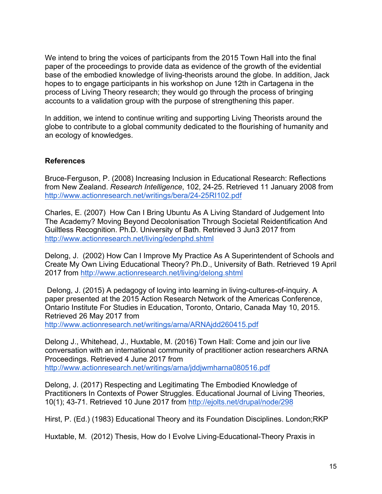We intend to bring the voices of participants from the 2015 Town Hall into the final paper of the proceedings to provide data as evidence of the growth of the evidential base of the embodied knowledge of living-theorists around the globe. In addition, Jack hopes to to engage participants in his workshop on June 12th in Cartagena in the process of Living Theory research; they would go through the process of bringing accounts to a validation group with the purpose of strengthening this paper.

In addition, we intend to continue writing and supporting Living Theorists around the globe to contribute to a global community dedicated to the flourishing of humanity and an ecology of knowledges.

## **References**

Bruce-Ferguson, P. (2008) Increasing Inclusion in Educational Research: Reflections from New Zealand. *Research Intelligence*, 102, 24-25. Retrieved 11 January 2008 from http://www.actionresearch.net/writings/bera/24-25RI102.pdf

Charles, E. (2007) How Can I Bring Ubuntu As A Living Standard of Judgement Into The Academy? Moving Beyond Decolonisation Through Societal Reidentification And Guiltless Recognition. Ph.D. University of Bath. Retrieved 3 Jun3 2017 from http://www.actionresearch.net/living/edenphd.shtml

Delong, J. (2002) How Can I Improve My Practice As A Superintendent of Schools and Create My Own Living Educational Theory? Ph.D., University of Bath. Retrieved 19 April 2017 from http://www.actionresearch.net/living/delong.shtml

Delong, J. (2015) A pedagogy of loving into learning in living-cultures-of-inquiry. A paper presented at the 2015 Action Research Network of the Americas Conference, Ontario Institute For Studies in Education, Toronto, Ontario, Canada May 10, 2015. Retrieved 26 May 2017 from

http://www.actionresearch.net/writings/arna/ARNAjdd260415.pdf

Delong J., Whitehead, J., Huxtable, M. (2016) Town Hall: Come and join our live conversation with an international community of practitioner action researchers ARNA Proceedings. Retrieved 4 June 2017 from http://www.actionresearch.net/writings/arna/jddjwmharna080516.pdf

Delong, J. (2017) Respecting and Legitimating The Embodied Knowledge of Practitioners In Contexts of Power Struggles. Educational Journal of Living Theories, 10(1); 43-71. Retrieved 10 June 2017 from http://ejolts.net/drupal/node/298

Hirst, P. (Ed.) (1983) Educational Theory and its Foundation Disciplines. London;RKP

Huxtable, M. (2012) Thesis, How do I Evolve Living-Educational-Theory Praxis in